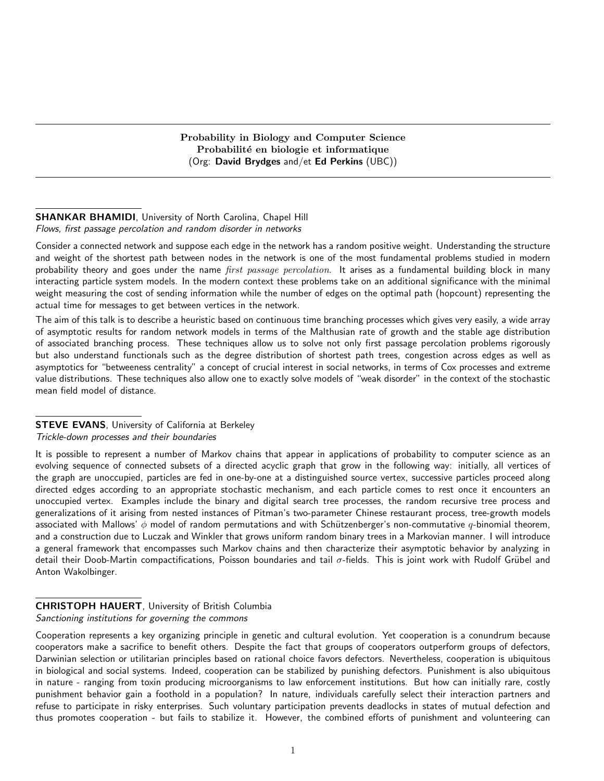Probability in Biology and Computer Science Probabilité en biologie et informatique (Org: David Brydges and/et Ed Perkins (UBC))

# SHANKAR BHAMIDI, University of North Carolina, Chapel Hill Flows, first passage percolation and random disorder in networks

Consider a connected network and suppose each edge in the network has a random positive weight. Understanding the structure and weight of the shortest path between nodes in the network is one of the most fundamental problems studied in modern probability theory and goes under the name *first passage percolation*. It arises as a fundamental building block in many interacting particle system models. In the modern context these problems take on an additional significance with the minimal weight measuring the cost of sending information while the number of edges on the optimal path (hopcount) representing the actual time for messages to get between vertices in the network.

The aim of this talk is to describe a heuristic based on continuous time branching processes which gives very easily, a wide array of asymptotic results for random network models in terms of the Malthusian rate of growth and the stable age distribution of associated branching process. These techniques allow us to solve not only first passage percolation problems rigorously but also understand functionals such as the degree distribution of shortest path trees, congestion across edges as well as asymptotics for "betweeness centrality" a concept of crucial interest in social networks, in terms of Cox processes and extreme value distributions. These techniques also allow one to exactly solve models of "weak disorder" in the context of the stochastic mean field model of distance.

# **STEVE EVANS**, University of California at Berkeley Trickle-down processes and their boundaries

It is possible to represent a number of Markov chains that appear in applications of probability to computer science as an evolving sequence of connected subsets of a directed acyclic graph that grow in the following way: initially, all vertices of the graph are unoccupied, particles are fed in one-by-one at a distinguished source vertex, successive particles proceed along directed edges according to an appropriate stochastic mechanism, and each particle comes to rest once it encounters an unoccupied vertex. Examples include the binary and digital search tree processes, the random recursive tree process and generalizations of it arising from nested instances of Pitman's two-parameter Chinese restaurant process, tree-growth models associated with Mallows'  $\phi$  model of random permutations and with Schützenberger's non-commutative  $q$ -binomial theorem, and a construction due to Luczak and Winkler that grows uniform random binary trees in a Markovian manner. I will introduce a general framework that encompasses such Markov chains and then characterize their asymptotic behavior by analyzing in detail their Doob-Martin compactifications, Poisson boundaries and tail  $\sigma$ -fields. This is joint work with Rudolf Grübel and Anton Wakolbinger.

# CHRISTOPH HAUERT, University of British Columbia Sanctioning institutions for governing the commons

Cooperation represents a key organizing principle in genetic and cultural evolution. Yet cooperation is a conundrum because cooperators make a sacrifice to benefit others. Despite the fact that groups of cooperators outperform groups of defectors, Darwinian selection or utilitarian principles based on rational choice favors defectors. Nevertheless, cooperation is ubiquitous in biological and social systems. Indeed, cooperation can be stabilized by punishing defectors. Punishment is also ubiquitous in nature - ranging from toxin producing microorganisms to law enforcement institutions. But how can initially rare, costly punishment behavior gain a foothold in a population? In nature, individuals carefully select their interaction partners and refuse to participate in risky enterprises. Such voluntary participation prevents deadlocks in states of mutual defection and thus promotes cooperation - but fails to stabilize it. However, the combined efforts of punishment and volunteering can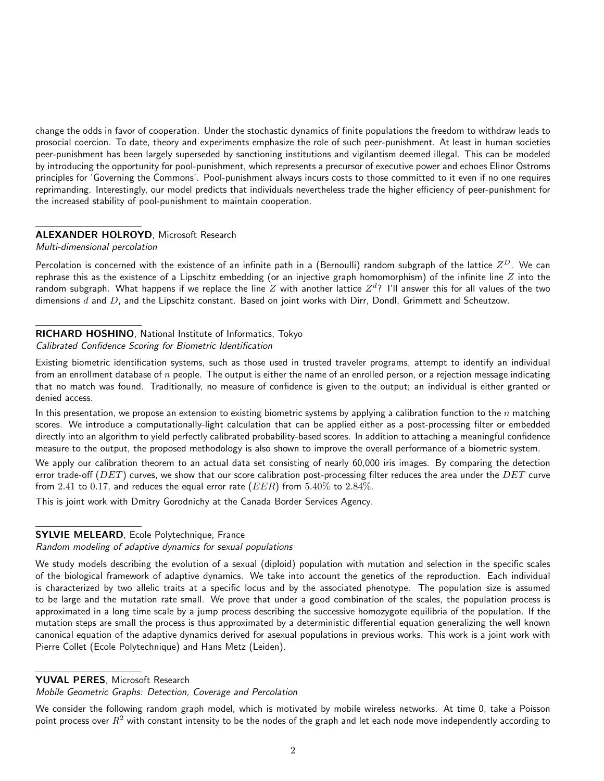change the odds in favor of cooperation. Under the stochastic dynamics of finite populations the freedom to withdraw leads to prosocial coercion. To date, theory and experiments emphasize the role of such peer-punishment. At least in human societies peer-punishment has been largely superseded by sanctioning institutions and vigilantism deemed illegal. This can be modeled by introducing the opportunity for pool-punishment, which represents a precursor of executive power and echoes Elinor Ostroms principles for 'Governing the Commons'. Pool-punishment always incurs costs to those committed to it even if no one requires reprimanding. Interestingly, our model predicts that individuals nevertheless trade the higher efficiency of peer-punishment for the increased stability of pool-punishment to maintain cooperation.

## ALEXANDER HOLROYD, Microsoft Research

#### Multi-dimensional percolation

Percolation is concerned with the existence of an infinite path in a (Bernoulli) random subgraph of the lattice  $Z^D$ . We can rephrase this as the existence of a Lipschitz embedding (or an injective graph homomorphism) of the infinite line  $Z$  into the random subgraph. What happens if we replace the line  $Z$  with another lattice  $Z^d$ ? I'll answer this for all values of the two dimensions  $d$  and  $D$ , and the Lipschitz constant. Based on joint works with Dirr, Dondl, Grimmett and Scheutzow.

# RICHARD HOSHINO, National Institute of Informatics, Tokyo

#### Calibrated Confidence Scoring for Biometric Identification

Existing biometric identification systems, such as those used in trusted traveler programs, attempt to identify an individual from an enrollment database of  $n$  people. The output is either the name of an enrolled person, or a rejection message indicating that no match was found. Traditionally, no measure of confidence is given to the output; an individual is either granted or denied access.

In this presentation, we propose an extension to existing biometric systems by applying a calibration function to the  $n$  matching scores. We introduce a computationally-light calculation that can be applied either as a post-processing filter or embedded directly into an algorithm to yield perfectly calibrated probability-based scores. In addition to attaching a meaningful confidence measure to the output, the proposed methodology is also shown to improve the overall performance of a biometric system.

We apply our calibration theorem to an actual data set consisting of nearly 60,000 iris images. By comparing the detection error trade-off ( $DET$ ) curves, we show that our score calibration post-processing filter reduces the area under the  $DET$  curve from 2.41 to 0.17, and reduces the equal error rate ( $EER$ ) from 5.40% to 2.84%.

This is joint work with Dmitry Gorodnichy at the Canada Border Services Agency.

#### SYLVIE MELEARD, Ecole Polytechnique, France

## Random modeling of adaptive dynamics for sexual populations

We study models describing the evolution of a sexual (diploid) population with mutation and selection in the specific scales of the biological framework of adaptive dynamics. We take into account the genetics of the reproduction. Each individual is characterized by two allelic traits at a specific locus and by the associated phenotype. The population size is assumed to be large and the mutation rate small. We prove that under a good combination of the scales, the population process is approximated in a long time scale by a jump process describing the successive homozygote equilibria of the population. If the mutation steps are small the process is thus approximated by a deterministic differential equation generalizing the well known canonical equation of the adaptive dynamics derived for asexual populations in previous works. This work is a joint work with Pierre Collet (Ecole Polytechnique) and Hans Metz (Leiden).

# YUVAL PERES, Microsoft Research

Mobile Geometric Graphs: Detection, Coverage and Percolation

We consider the following random graph model, which is motivated by mobile wireless networks. At time 0, take a Poisson point process over  $R^2$  with constant intensity to be the nodes of the graph and let each node move independently according to